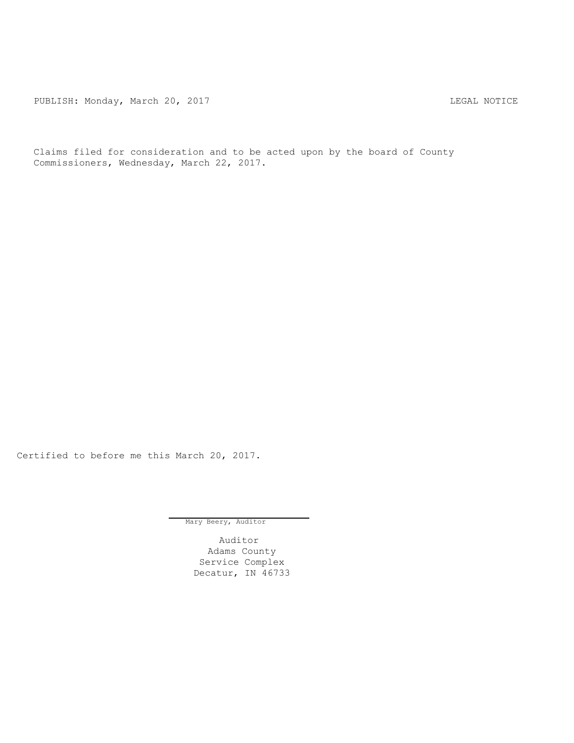PUBLISH: Monday, March 20, 2017 CHANGER AND THE MOTICE

Claims filed for consideration and to be acted upon by the board of County Commissioners, Wednesday, March 22, 2017.

Certified to before me this March 20, 2017.

Mary Beery, Auditor

Auditor Adams County Service Complex Decatur, IN 46733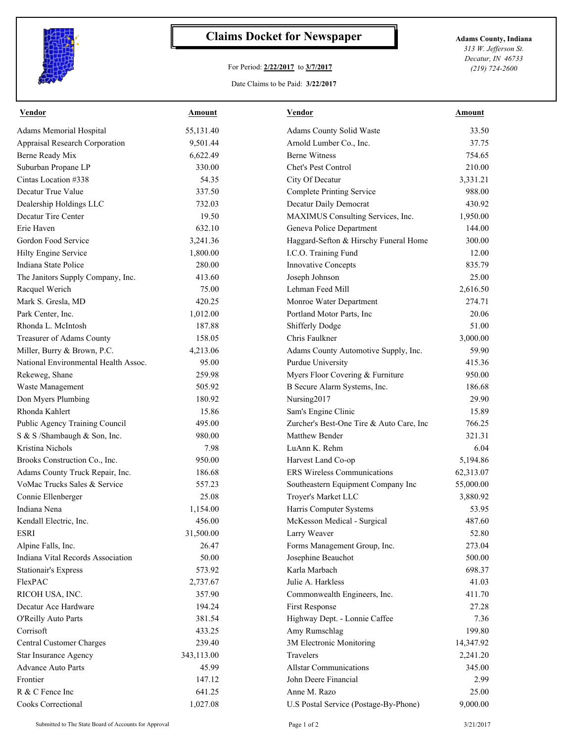

## **Claims Docket for Newspaper Adams County, Indiana**

## For Period: **2/22/2017** to **3/7/2017**

*313 W. Jefferson St. Decatur, IN 46733 (219) 724-2600*

Date Claims to be Paid: **3/22/2017**

| <b>Vendor</b>                                                   | Amount     | <b>Vendor</b>                                            | Amount    |
|-----------------------------------------------------------------|------------|----------------------------------------------------------|-----------|
| Adams Memorial Hospital                                         | 55,131.40  | Adams County Solid Waste                                 | 33.50     |
| Appraisal Research Corporation                                  | 9,501.44   | Arnold Lumber Co., Inc.                                  | 37.75     |
| Berne Ready Mix                                                 | 6,622.49   | <b>Berne Witness</b>                                     | 754.65    |
| Suburban Propane LP                                             | 330.00     | Chet's Pest Control                                      | 210.00    |
| Cintas Location #338                                            | 54.35      | City Of Decatur                                          | 3,331.21  |
| Decatur True Value                                              | 337.50     | <b>Complete Printing Service</b>                         | 988.00    |
| Dealership Holdings LLC                                         | 732.03     | Decatur Daily Democrat                                   | 430.92    |
| Decatur Tire Center                                             | 19.50      | MAXIMUS Consulting Services, Inc.                        | 1,950.00  |
| Erie Haven                                                      | 632.10     | Geneva Police Department                                 | 144.00    |
| Gordon Food Service                                             | 3,241.36   | Haggard-Sefton & Hirschy Funeral Home                    | 300.00    |
| Hilty Engine Service                                            | 1,800.00   | I.C.O. Training Fund                                     | 12.00     |
| Indiana State Police                                            | 280.00     | Innovative Concepts                                      | 835.79    |
| The Janitors Supply Company, Inc.                               | 413.60     | Joseph Johnson                                           | 25.00     |
| Racquel Werich                                                  | 75.00      | Lehman Feed Mill                                         | 2,616.50  |
| Mark S. Gresla, MD                                              | 420.25     | Monroe Water Department                                  | 274.71    |
| Park Center, Inc.                                               | 1,012.00   | Portland Motor Parts, Inc                                | 20.06     |
| Rhonda L. McIntosh                                              | 187.88     | <b>Shifferly Dodge</b>                                   | 51.00     |
| Treasurer of Adams County                                       | 158.05     | Chris Faulkner                                           | 3,000.00  |
| Miller, Burry & Brown, P.C.                                     | 4,213.06   | Adams County Automotive Supply, Inc.                     | 59.90     |
| National Environmental Health Assoc.                            | 95.00      | Purdue University                                        | 415.36    |
| Rekeweg, Shane                                                  | 259.98     | Myers Floor Covering & Furniture                         | 950.00    |
| Waste Management                                                | 505.92     | B Secure Alarm Systems, Inc.                             | 186.68    |
| Don Myers Plumbing                                              | 180.92     | Nursing2017                                              | 29.90     |
| Rhonda Kahlert                                                  | 15.86      | Sam's Engine Clinic                                      | 15.89     |
| Public Agency Training Council                                  | 495.00     | Zurcher's Best-One Tire & Auto Care, Inc                 | 766.25    |
| S & S /Shambaugh & Son, Inc.                                    | 980.00     | Matthew Bender                                           | 321.31    |
| Kristina Nichols                                                | 7.98       | LuAnn K. Rehm                                            | 6.04      |
|                                                                 | 950.00     |                                                          |           |
| Brooks Construction Co., Inc.                                   |            | Harvest Land Co-op<br><b>ERS</b> Wireless Communications | 5,194.86  |
| Adams County Truck Repair, Inc.<br>VoMac Trucks Sales & Service | 186.68     |                                                          | 62,313.07 |
|                                                                 | 557.23     | Southeastern Equipment Company Inc                       | 55,000.00 |
| Connie Ellenberger                                              | 25.08      | Troyer's Market LLC                                      | 3,880.92  |
| Indiana Nena                                                    | 1,154.00   | Harris Computer Systems                                  | 53.95     |
| Kendall Electric, Inc.                                          | 456.00     | McKesson Medical - Surgical                              | 487.60    |
| <b>ESRI</b>                                                     | 31,500.00  | Larry Weaver                                             | 52.80     |
| Alpine Falls, Inc.                                              | 26.47      | Forms Management Group, Inc.                             | 273.04    |
| Indiana Vital Records Association                               | 50.00      | Josephine Beauchot                                       | 500.00    |
| <b>Stationair's Express</b>                                     | 573.92     | Karla Marbach                                            | 698.37    |
| FlexPAC                                                         | 2,737.67   | Julie A. Harkless                                        | 41.03     |
| RICOH USA, INC.                                                 | 357.90     | Commonwealth Engineers, Inc.                             | 411.70    |
| Decatur Ace Hardware                                            | 194.24     | First Response                                           | 27.28     |
| O'Reilly Auto Parts                                             | 381.54     | Highway Dept. - Lonnie Caffee                            | 7.36      |
| Corrisoft                                                       | 433.25     | Amy Rumschlag                                            | 199.80    |
| Central Customer Charges                                        | 239.40     | 3M Electronic Monitoring                                 | 14,347.92 |
| Star Insurance Agency                                           | 343,113.00 | Travelers                                                | 2,241.20  |
| <b>Advance Auto Parts</b>                                       | 45.99      | <b>Allstar Communications</b>                            | 345.00    |
| Frontier                                                        | 147.12     | John Deere Financial                                     | 2.99      |
| R & C Fence Inc                                                 | 641.25     | Anne M. Razo                                             | 25.00     |
| Cooks Correctional                                              | 1,027.08   | U.S Postal Service (Postage-By-Phone)                    | 9,000.00  |